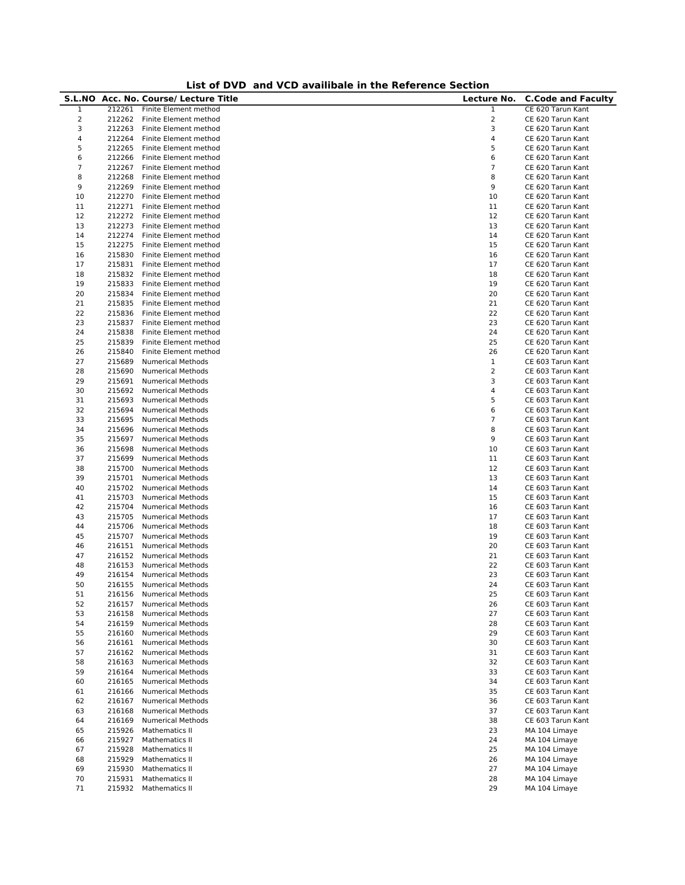| List of DVD and VCD availibale in the Reference Section |  |
|---------------------------------------------------------|--|
|---------------------------------------------------------|--|

|                |        | ana <i>,</i> sp avannoure m ane norer ence<br>S.L.NO Acc. No. Course/ Lecture Title | Lecture No.    | <b>C.Code and Faculty</b> |
|----------------|--------|-------------------------------------------------------------------------------------|----------------|---------------------------|
| 1              | 212261 | Finite Element method                                                               | 1              | CE 620 Tarun Kant         |
| 2              | 212262 | Finite Element method                                                               | $\mathbf 2$    | CE 620 Tarun Kant         |
| 3              | 212263 | Finite Element method                                                               | 3              | CE 620 Tarun Kant         |
| 4              | 212264 | Finite Element method                                                               | 4              | CE 620 Tarun Kant         |
| 5              | 212265 | Finite Element method                                                               | 5              | CE 620 Tarun Kant         |
| 6              | 212266 | Finite Element method                                                               | 6              | CE 620 Tarun Kant         |
| $\overline{7}$ | 212267 | Finite Element method                                                               | $\overline{7}$ | CE 620 Tarun Kant         |
| 8              | 212268 | Finite Element method                                                               | 8              | CE 620 Tarun Kant         |
| 9              | 212269 | Finite Element method                                                               | 9              | CE 620 Tarun Kant         |
| 10             | 212270 | Finite Element method                                                               | 10             | CE 620 Tarun Kant         |
| 11             | 212271 | Finite Element method                                                               | 11             | CE 620 Tarun Kant         |
| 12             | 212272 | Finite Element method                                                               | 12             | CE 620 Tarun Kant         |
| 13             | 212273 | Finite Element method                                                               | 13             | CE 620 Tarun Kant         |
| 14             | 212274 | Finite Element method                                                               | 14             | CE 620 Tarun Kant         |
| 15             | 212275 | Finite Element method                                                               | 15             | CE 620 Tarun Kant         |
| 16             | 215830 | Finite Element method                                                               | 16             | CE 620 Tarun Kant         |
| 17             | 215831 | Finite Element method                                                               | 17             | CE 620 Tarun Kant         |
| 18             | 215832 | Finite Element method                                                               | 18             | CE 620 Tarun Kant         |
| 19             | 215833 | Finite Element method                                                               | 19             | CE 620 Tarun Kant         |
| 20             | 215834 | Finite Element method                                                               | 20             | CE 620 Tarun Kant         |
| 21             | 215835 | Finite Element method                                                               | 21             | CE 620 Tarun Kant         |
| 22             | 215836 | Finite Element method                                                               | 22             | CE 620 Tarun Kant         |
| 23             | 215837 | Finite Element method                                                               | 23             | CE 620 Tarun Kant         |
| 24             | 215838 | Finite Element method                                                               | 24             | CE 620 Tarun Kant         |
| 25             | 215839 | Finite Element method                                                               | 25             | CE 620 Tarun Kant         |
| 26             | 215840 | Finite Element method                                                               | 26             | CE 620 Tarun Kant         |
| 27             | 215689 | <b>Numerical Methods</b>                                                            | $\,1$          | CE 603 Tarun Kant         |
| 28             | 215690 | <b>Numerical Methods</b>                                                            | $\overline{2}$ | CE 603 Tarun Kant         |
| 29             | 215691 | <b>Numerical Methods</b>                                                            | 3              | CE 603 Tarun Kant         |
| 30             | 215692 | <b>Numerical Methods</b>                                                            | 4              | CE 603 Tarun Kant         |
| 31             | 215693 | <b>Numerical Methods</b>                                                            | 5              | CE 603 Tarun Kant         |
| 32             | 215694 | <b>Numerical Methods</b>                                                            | 6              | CE 603 Tarun Kant         |
| 33             | 215695 | Numerical Methods                                                                   | 7              | CE 603 Tarun Kant         |
| 34             | 215696 | <b>Numerical Methods</b>                                                            | 8              | CE 603 Tarun Kant         |
| 35             | 215697 | <b>Numerical Methods</b>                                                            | 9              | CE 603 Tarun Kant         |
| 36             | 215698 |                                                                                     | 10             |                           |
|                |        | <b>Numerical Methods</b>                                                            |                | CE 603 Tarun Kant         |
| 37             | 215699 | <b>Numerical Methods</b>                                                            | 11             | CE 603 Tarun Kant         |
| 38             | 215700 | <b>Numerical Methods</b>                                                            | 12             | CE 603 Tarun Kant         |
| 39             | 215701 | <b>Numerical Methods</b>                                                            | 13             | CE 603 Tarun Kant         |
| 40             | 215702 | <b>Numerical Methods</b>                                                            | 14             | CE 603 Tarun Kant         |
| 41             | 215703 | <b>Numerical Methods</b>                                                            | 15             | CE 603 Tarun Kant         |
| 42             | 215704 | Numerical Methods                                                                   | 16             | CE 603 Tarun Kant         |
| 43             | 215705 | <b>Numerical Methods</b>                                                            | 17             | CE 603 Tarun Kant         |
| 44             | 215706 | <b>Numerical Methods</b>                                                            | 18             | CE 603 Tarun Kant         |
| 45             | 215707 | <b>Numerical Methods</b>                                                            | 19             | CE 603 Tarun Kant         |
| 46             | 216151 | <b>Numerical Methods</b>                                                            | 20             | CE 603 Tarun Kant         |
| 47             | 216152 | <b>Numerical Methods</b>                                                            | 21             | CE 603 Tarun Kant         |
| 48             | 216153 | <b>Numerical Methods</b>                                                            | 22             | CE 603 Tarun Kant         |
| 49             | 216154 | <b>Numerical Methods</b>                                                            | 23             | CE 603 Tarun Kant         |
| 50             | 216155 | Numerical Methods                                                                   | 24             | CE 603 Tarun Kant         |
| 51             | 216156 | <b>Numerical Methods</b>                                                            | 25             | CE 603 Tarun Kant         |
| 52             | 216157 | <b>Numerical Methods</b>                                                            | 26             | CE 603 Tarun Kant         |
| 53             | 216158 | <b>Numerical Methods</b>                                                            | 27             | CE 603 Tarun Kant         |
| 54             | 216159 | <b>Numerical Methods</b>                                                            | 28             | CE 603 Tarun Kant         |
| 55             | 216160 | <b>Numerical Methods</b>                                                            | 29             | CE 603 Tarun Kant         |
| 56             | 216161 | <b>Numerical Methods</b>                                                            | 30             | CE 603 Tarun Kant         |
| 57             | 216162 | <b>Numerical Methods</b>                                                            | 31             | CE 603 Tarun Kant         |
| 58             | 216163 | <b>Numerical Methods</b>                                                            | 32             | CE 603 Tarun Kant         |
| 59             | 216164 | <b>Numerical Methods</b>                                                            | 33             | CE 603 Tarun Kant         |
| 60             | 216165 | <b>Numerical Methods</b>                                                            | 34             | CE 603 Tarun Kant         |
| 61             | 216166 | <b>Numerical Methods</b>                                                            | 35             | CE 603 Tarun Kant         |
| 62             | 216167 | <b>Numerical Methods</b>                                                            | 36             | CE 603 Tarun Kant         |
| 63             | 216168 | <b>Numerical Methods</b>                                                            | 37             | CE 603 Tarun Kant         |
| 64             | 216169 | <b>Numerical Methods</b>                                                            | 38             | CE 603 Tarun Kant         |
| 65             | 215926 | <b>Mathematics II</b>                                                               | 23             | MA 104 Limaye             |
| 66             | 215927 | Mathematics II                                                                      | 24             | MA 104 Limaye             |
| 67             | 215928 | Mathematics II                                                                      | 25             | MA 104 Limaye             |
| 68             | 215929 | <b>Mathematics II</b>                                                               | 26             | MA 104 Limaye             |
| 69             | 215930 | Mathematics II                                                                      | 27             | MA 104 Limaye             |
| 70             | 215931 | <b>Mathematics II</b>                                                               | 28             | MA 104 Limaye             |
| 71             | 215932 | Mathematics II                                                                      | 29             | MA 104 Limaye             |
|                |        |                                                                                     |                |                           |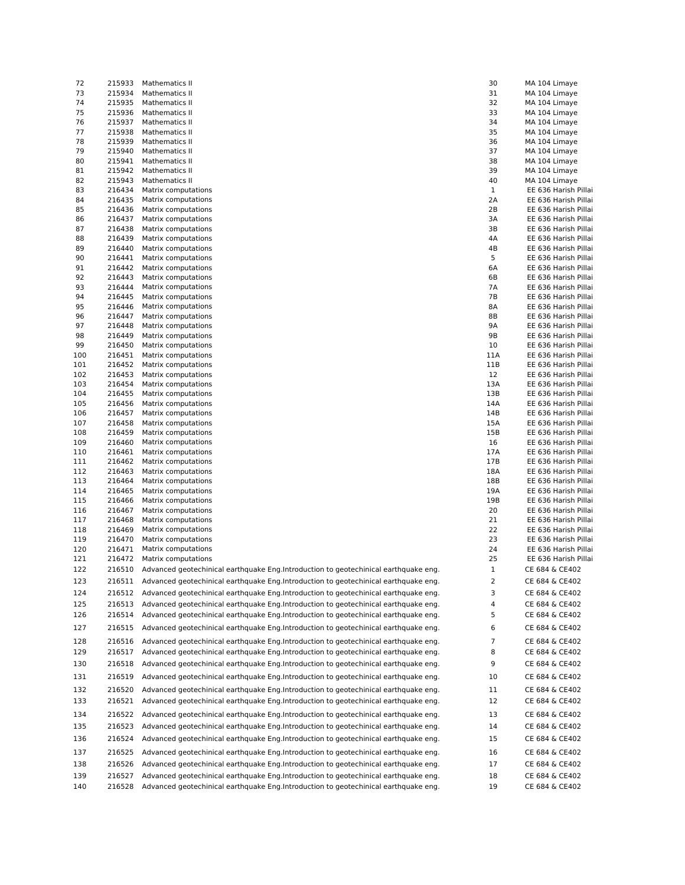| 72  | 215933 | Mathematics II                                                                       | 30           | MA 104 Limaye        |
|-----|--------|--------------------------------------------------------------------------------------|--------------|----------------------|
| 73  | 215934 | Mathematics II                                                                       | 31           | MA 104 Limaye        |
| 74  | 215935 | Mathematics II                                                                       | 32           | MA 104 Limaye        |
| 75  | 215936 | Mathematics II                                                                       | 33           | MA 104 Limaye        |
| 76  | 215937 | Mathematics II                                                                       | 34           | MA 104 Limaye        |
| 77  | 215938 | Mathematics II                                                                       | 35           | MA 104 Limaye        |
| 78  | 215939 | Mathematics II                                                                       | 36           | MA 104 Limaye        |
| 79  | 215940 | Mathematics II                                                                       | 37           | MA 104 Limaye        |
| 80  | 215941 | Mathematics II                                                                       | 38           | MA 104 Limaye        |
| 81  | 215942 | Mathematics II                                                                       | 39           | MA 104 Limaye        |
| 82  | 215943 | Mathematics II                                                                       | 40           | MA 104 Limaye        |
| 83  | 216434 | Matrix computations                                                                  | 1            | EE 636 Harish Pillai |
| 84  | 216435 | Matrix computations                                                                  | 2A           | EE 636 Harish Pillai |
| 85  | 216436 | Matrix computations                                                                  | 2B           | EE 636 Harish Pillai |
| 86  | 216437 | Matrix computations                                                                  | 3A           | EE 636 Harish Pillai |
|     |        |                                                                                      | 3B           |                      |
| 87  | 216438 | Matrix computations                                                                  | 4A           | EE 636 Harish Pillai |
| 88  | 216439 | Matrix computations                                                                  |              | EE 636 Harish Pillai |
| 89  | 216440 | Matrix computations                                                                  | 4B           | EE 636 Harish Pillai |
| 90  | 216441 | Matrix computations                                                                  | 5            | EE 636 Harish Pillai |
| 91  | 216442 | Matrix computations                                                                  | 6A           | EE 636 Harish Pillai |
| 92  | 216443 | Matrix computations                                                                  | 6B           | EE 636 Harish Pillai |
| 93  | 216444 | Matrix computations                                                                  | 7A           | EE 636 Harish Pillai |
| 94  | 216445 | Matrix computations                                                                  | 7В           | EE 636 Harish Pillai |
| 95  | 216446 | Matrix computations                                                                  | 8A           | EE 636 Harish Pillai |
| 96  | 216447 | Matrix computations                                                                  | 8Β           | EE 636 Harish Pillai |
| 97  | 216448 | Matrix computations                                                                  | 9A           | EE 636 Harish Pillai |
| 98  | 216449 | Matrix computations                                                                  | 9B           | EE 636 Harish Pillai |
| 99  | 216450 | Matrix computations                                                                  | 10           | EE 636 Harish Pillai |
| 100 | 216451 | Matrix computations                                                                  | 11A          | EE 636 Harish Pillai |
| 101 | 216452 | Matrix computations                                                                  | 11B          | EE 636 Harish Pillai |
| 102 | 216453 | Matrix computations                                                                  | 12           | EE 636 Harish Pillai |
| 103 | 216454 | Matrix computations                                                                  | 13A          | EE 636 Harish Pillai |
| 104 | 216455 | Matrix computations                                                                  | 13B          | EE 636 Harish Pillai |
| 105 | 216456 | Matrix computations                                                                  | 14A          | EE 636 Harish Pillai |
| 106 | 216457 | Matrix computations                                                                  | 14B          | EE 636 Harish Pillai |
| 107 | 216458 | Matrix computations                                                                  | 15A          | EE 636 Harish Pillai |
| 108 | 216459 | Matrix computations                                                                  | 15B          | EE 636 Harish Pillai |
| 109 | 216460 | Matrix computations                                                                  | 16           | EE 636 Harish Pillai |
| 110 | 216461 | Matrix computations                                                                  | 17A          | EE 636 Harish Pillai |
| 111 | 216462 | Matrix computations                                                                  | 17B          | EE 636 Harish Pillai |
| 112 | 216463 | Matrix computations                                                                  | 18A          | EE 636 Harish Pillai |
|     |        |                                                                                      | 18B          |                      |
| 113 | 216464 | Matrix computations                                                                  |              | EE 636 Harish Pillai |
| 114 | 216465 | Matrix computations                                                                  | 19A          | EE 636 Harish Pillai |
| 115 | 216466 | Matrix computations                                                                  | 19B          | EE 636 Harish Pillai |
| 116 | 216467 | Matrix computations                                                                  | 20           | EE 636 Harish Pillai |
| 117 | 216468 | Matrix computations                                                                  | 21           | EE 636 Harish Pillai |
| 118 | 216469 | Matrix computations                                                                  | 22           | EE 636 Harish Pillai |
| 119 | 216470 | Matrix computations                                                                  | 23           | EE 636 Harish Pillai |
| 120 | 216471 | Matrix computations                                                                  | 24           | EE 636 Harish Pillai |
| 121 | 216472 | Matrix computations                                                                  | 25           | EE 636 Harish Pillai |
| 122 | 216510 | Advanced geotechinical earthquake Eng. Introduction to geotechinical earthquake eng. | $\mathbf{1}$ | CE 684 & CE402       |
| 123 | 216511 | Advanced geotechinical earthquake Eng. Introduction to geotechinical earthquake eng. | 2            | CE 684 & CE402       |
| 124 | 216512 | Advanced geotechinical earthquake Eng.Introduction to geotechinical earthquake eng.  | 3            | CE 684 & CE402       |
|     |        |                                                                                      |              |                      |
| 125 | 216513 | Advanced geotechinical earthquake Eng.Introduction to geotechinical earthquake eng.  | 4            | CE 684 & CE402       |
| 126 | 216514 | Advanced geotechinical earthquake Eng.Introduction to geotechinical earthquake eng.  | 5            | CE 684 & CE402       |
| 127 | 216515 | Advanced geotechinical earthquake Eng.Introduction to geotechinical earthquake eng.  | 6            | CE 684 & CE402       |
|     |        |                                                                                      |              |                      |
| 128 | 216516 | Advanced geotechinical earthquake Eng.Introduction to geotechinical earthquake eng.  | 7            | CE 684 & CE402       |
| 129 | 216517 | Advanced geotechinical earthquake Eng.Introduction to geotechinical earthquake eng.  | 8            | CE 684 & CE402       |
| 130 | 216518 | Advanced geotechinical earthquake Eng.Introduction to geotechinical earthquake eng.  | 9            | CE 684 & CE402       |
| 131 | 216519 | Advanced geotechinical earthquake Eng.Introduction to geotechinical earthquake eng.  | 10           | CE 684 & CE402       |
|     |        |                                                                                      |              |                      |
| 132 | 216520 | Advanced geotechinical earthquake Eng.Introduction to geotechinical earthquake eng.  | 11           | CE 684 & CE402       |
| 133 | 216521 | Advanced geotechinical earthquake Eng.Introduction to geotechinical earthquake eng.  | 12           | CE 684 & CE402       |
| 134 | 216522 | Advanced geotechinical earthquake Eng.Introduction to geotechinical earthquake eng.  | 13           | CE 684 & CE402       |
|     |        |                                                                                      |              |                      |
| 135 | 216523 | Advanced geotechinical earthquake Eng.Introduction to geotechinical earthquake eng.  | 14           | CE 684 & CE402       |
| 136 | 216524 | Advanced geotechinical earthquake Eng.Introduction to geotechinical earthquake eng.  | 15           | CE 684 & CE402       |
| 137 | 216525 | Advanced geotechinical earthquake Eng.Introduction to geotechinical earthquake eng.  | 16           | CE 684 & CE402       |
|     |        |                                                                                      |              |                      |
| 138 | 216526 | Advanced geotechinical earthquake Eng.Introduction to geotechinical earthquake eng.  | 17           | CE 684 & CE402       |
| 139 | 216527 | Advanced geotechinical earthquake Eng.Introduction to geotechinical earthquake eng.  | 18           | CE 684 & CE402       |
| 140 | 216528 | Advanced geotechinical earthquake Eng.Introduction to geotechinical earthquake eng.  | 19           | CE 684 & CE402       |
|     |        |                                                                                      |              |                      |

| 0                        | MA 104 Limaye                                |
|--------------------------|----------------------------------------------|
| 1                        | MA 104 Limaye                                |
| 2                        | MA 104 Limaye                                |
| 3                        | MA 104 Limaye                                |
| 4                        | MA 104 Limaye                                |
| 5<br>6                   | MA 104 Limaye<br>MA 104 Limaye               |
| 7                        | MA 104 Limaye                                |
| 8                        | MA 104 Limaye                                |
| 9                        | MA 104 Limaye                                |
| 0                        | МA<br>104 Limaye                             |
| $\overline{\phantom{a}}$ | EE 636 Harish Pillai                         |
| А                        | EE 636 Harish Pillai                         |
| В                        | EE 636 Harish Pillai                         |
| A                        | EE 636 Harish Pillai                         |
| В<br>A                   | EE 636 Harish Pillai<br>EE 636 Harish Pillai |
| B                        | EE 636 Harish Pillai                         |
| j.                       | EE 636 Harish Pillai                         |
| A                        | EE 636 Harish Pillai                         |
| B                        | EE 636 Harish Pillai                         |
| A                        | EE 636 Harish Pillai                         |
| В                        | EE 636 Harish Pillai                         |
| A<br>В                   | EE 636 Harish Pillai                         |
| A                        | EE 636 Harish Pillai<br>EE 636 Harish Pillai |
| В                        | EE 636 Harish Pillai                         |
| 0                        | EE 636 Harish Pillai                         |
| A.                       | EE 636 Harish Pillai                         |
| .B                       | EE 636 Harish Pillai                         |
| 2                        | EE 636 Harish Pillai                         |
| šА                       | EE 636 Harish Pillai                         |
| зB<br>ŀΑ                 | EE 636 Harish Pillai<br>EE 636 Harish Pillai |
| ŀB                       | EE 636 Harish Pillai                         |
| iА                       | EE 636 Harish Pillai                         |
| ìВ                       | EE 636 Harish Pillai                         |
| 6                        | EE 636 Harish Pillai                         |
| Ά                        | EE 636 Harish Pillai                         |
| ΊB                       | EE 636 Harish Pillai                         |
| šА                       | EE 636 Harish Pillai                         |
| зB<br>۱A                 | EE 636 Harish Pillai<br>EE 636 Harish Pillai |
| ìВ                       | EE 636 Harish Pillai                         |
| 0                        | EE 636 Harish Pillai                         |
| 1                        | EE 636 Harish Pillai                         |
| 2                        | EE 636 Harish Pillai                         |
| 3                        | EE 636 Harish Pillai                         |
| 4                        | EE 636 Harish Pillai                         |
| 5                        | EE 636 Harish Pillai                         |
| $\overline{a}$           | CE 684 & CE402                               |
| $\overline{ }$           | CE 684 & CE402                               |
| Š                        | CE 684 & CE402                               |
| ļ                        | CE 684 & CE402                               |
| ,                        | CE 684 & CE402                               |
| j                        | CE 684 & CE402                               |
| 7                        | CE 684 & CE402                               |
| Š                        | CE 684 & CE402                               |
| )                        | CE 684 & CE402                               |
| 0                        | CE 684 & CE402                               |
| 1                        | CE 684 & CE402                               |
| 2                        | CE 684 & CE402                               |
|                          |                                              |
| 3                        | CE 684 & CE402                               |
| 4                        | CE 684 & CE402                               |
| 5                        | CE 684 & CE402                               |
| 6                        | CE 684 & CE402                               |
| 7                        | CE 684 & CE402                               |
| 8                        | CE 684 & CE402                               |
| 9                        | CE 684 & CE402                               |
|                          |                                              |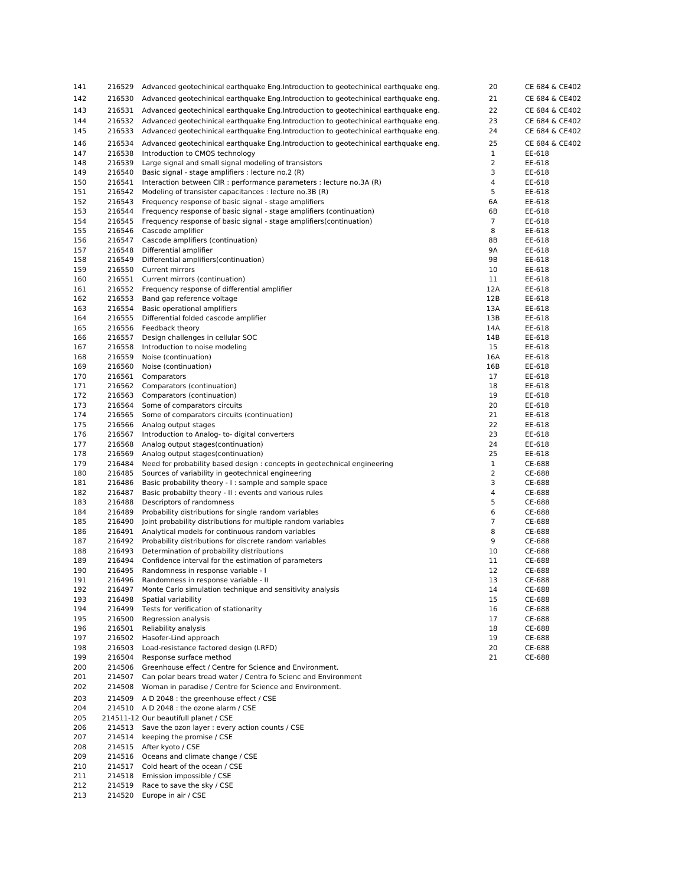| 141        | 216529           | Advanced geotechinical earthquake Eng.Introduction to geotechinical earthquake eng.                              | 20                  | CE 684 & CE402   |
|------------|------------------|------------------------------------------------------------------------------------------------------------------|---------------------|------------------|
| 142        | 216530           | Advanced geotechinical earthquake Eng. Introduction to geotechinical earthquake eng.                             | 21                  | CE 684 & CE402   |
| 143        | 216531           | Advanced geotechinical earthquake Eng.Introduction to geotechinical earthquake eng.                              | 22                  | CE 684 & CE402   |
| 144        | 216532           | Advanced geotechinical earthquake Eng. Introduction to geotechinical earthquake eng.                             | 23                  | CE 684 & CE402   |
| 145        | 216533           | Advanced geotechinical earthquake Eng.Introduction to geotechinical earthquake eng.                              | 24                  | CE 684 & CE402   |
| 146        | 216534           | Advanced geotechinical earthquake Eng.Introduction to geotechinical earthquake eng.                              | 25                  | CE 684 & CE402   |
| 147        | 216538           | Introduction to CMOS technology                                                                                  | $\mathbf{1}$        | EE-618           |
| 148        | 216539           | Large signal and small signal modeling of transistors                                                            | $\overline{2}$      | EE-618           |
| 149        | 216540           | Basic signal - stage amplifiers : lecture no.2 (R)                                                               | 3                   | EE-618           |
| 150        | 216541           | Interaction between CIR : performance parameters : lecture no.3A (R)                                             | 4                   | EE-618           |
| 151        | 216542           | Modeling of transister capacitances : lecture no.3B (R)                                                          | 5                   | EE-618           |
| 152        | 216543           | Frequency response of basic signal - stage amplifiers                                                            | 6A                  | EE-618           |
| 153        | 216544           | Frequency response of basic signal - stage amplifiers (continuation)                                             | 6B                  | EE-618           |
| 154<br>155 | 216545<br>216546 | Frequency response of basic signal - stage amplifiers (continuation)<br>Cascode amplifier                        | $\overline{7}$<br>8 | EE-618<br>EE-618 |
| 156        | 216547           | Cascode amplifiers (continuation)                                                                                | 8Β                  | EE-618           |
| 157        | 216548           | Differential amplifier                                                                                           | 9Α                  | EE-618           |
| 158        | 216549           | Differential amplifiers(continuation)                                                                            | 9Β                  | EE-618           |
| 159        | 216550           | Current mirrors                                                                                                  | 10                  | EE-618           |
| 160        | 216551           | Current mirrors (continuation)                                                                                   | 11                  | EE-618           |
| 161        | 216552           | Frequency response of differential amplifier                                                                     | 12A                 | EE-618           |
| 162        | 216553           | Band gap reference voltage                                                                                       | 12B                 | EE-618           |
| 163        | 216554           | Basic operational amplifiers                                                                                     | 13A                 | EE-618           |
| 164        | 216555           | Differential folded cascode amplifier                                                                            | 13B                 | EE-618           |
| 165        | 216556           | Feedback theory                                                                                                  | 14A                 | EE-618           |
| 166        | 216557           | Design challenges in cellular SOC                                                                                | 14B                 | EE-618           |
| 167        | 216558           | Introduction to noise modeling                                                                                   | 15                  | EE-618           |
| 168        | 216559           | Noise (continuation)<br>Noise (continuation)                                                                     | 16A                 | EE-618           |
| 169<br>170 | 216560<br>216561 | Comparators                                                                                                      | 16B<br>17           | EE-618<br>EE-618 |
| 171        | 216562           | Comparators (continuation)                                                                                       | 18                  | EE-618           |
| 172        | 216563           | Comparators (continuation)                                                                                       | 19                  | EE-618           |
| 173        | 216564           | Some of comparators circuits                                                                                     | 20                  | EE-618           |
| 174        | 216565           | Some of comparators circuits (continuation)                                                                      | 21                  | EE-618           |
| 175        | 216566           | Analog output stages                                                                                             | 22                  | EE-618           |
| 176        | 216567           | Introduction to Analog-to-digital converters                                                                     | 23                  | EE-618           |
| 177        | 216568           | Analog output stages(continuation)                                                                               | 24                  | EE-618           |
| 178        | 216569           | Analog output stages (continuation)                                                                              | 25                  | EE-618           |
| 179        | 216484           | Need for probability based design : concepts in geotechnical engineering                                         | $\mathbf{1}$        | CE-688           |
| 180        | 216485           | Sources of variability in geotechnical engineering                                                               | $\overline{2}$      | CE-688           |
| 181<br>182 | 216486<br>216487 | Basic probability theory - I: sample and sample space<br>Basic probabilty theory - II : events and various rules | 3<br>4              | CE-688<br>CE-688 |
| 183        | 216488           | Descriptors of randomness                                                                                        | 5                   | CE-688           |
| 184        | 216489           | Probability distributions for single random variables                                                            | 6                   | CE-688           |
| 185        | 216490           | Joint probability distributions for multiple random variables                                                    | $\overline{7}$      | CE-688           |
| 186        | 216491           | Analytical models for continuous random variables                                                                | 8                   | CE-688           |
| 187        | 216492           | Probability distributions for discrete random variables                                                          | 9                   | CE-688           |
| 188        | 216493           | Determination of probability distributions                                                                       | 10                  | CE-688           |
| 189        | 216494           | Confidence interval for the estimation of parameters                                                             | 11                  | CE-688           |
| 190        | 216495           | Randomness in response variable - I                                                                              | 12                  | CE-688           |
| 191        | 216496           | Randomness in response variable - II                                                                             | 13                  | CE-688           |
| 192        | 216497<br>216498 | Monte Carlo simulation technique and sensitivity analysis<br>Spatial variability                                 | 14                  | CE-688           |
| 193<br>194 | 216499           | Tests for verification of stationarity                                                                           | 15<br>16            | CE-688<br>CE-688 |
| 195        | 216500           | Regression analysis                                                                                              | 17                  | CE-688           |
| 196        | 216501           | Reliability analysis                                                                                             | 18                  | CE-688           |
| 197        | 216502           | Hasofer-Lind approach                                                                                            | 19                  | CE-688           |
| 198        | 216503           | Load-resistance factored design (LRFD)                                                                           | 20                  | CE-688           |
| 199        | 216504           | Response surface method                                                                                          | 21                  | CE-688           |
| 200        | 214506           | Greenhouse effect / Centre for Science and Environment.                                                          |                     |                  |
| 201        | 214507           | Can polar bears tread water / Centra fo Scienc and Environment                                                   |                     |                  |
| 202        | 214508           | Woman in paradise / Centre for Science and Environment.                                                          |                     |                  |
| 203        | 214509           | A D 2048 : the greenhouse effect / CSE                                                                           |                     |                  |
| 204        |                  | 214510 A D 2048 : the ozone alarm / CSE                                                                          |                     |                  |
| 205        |                  | 214511-12 Our beautifull planet / CSE                                                                            |                     |                  |
| 206        | 214513           | Save the ozon layer : every action counts / CSE                                                                  |                     |                  |
| 207        | 214514           | keeping the promise / CSE                                                                                        |                     |                  |
| 208<br>209 | 214516           | 214515 After kyoto / CSE<br>Oceans and climate change / CSE                                                      |                     |                  |
| 210        | 214517           | Cold heart of the ocean / CSE                                                                                    |                     |                  |
|            |                  |                                                                                                                  |                     |                  |

- 214518 Emission impossible / CSE
- 214519 Race to save the sky / CSE
- 214520 Europe in air / CSE